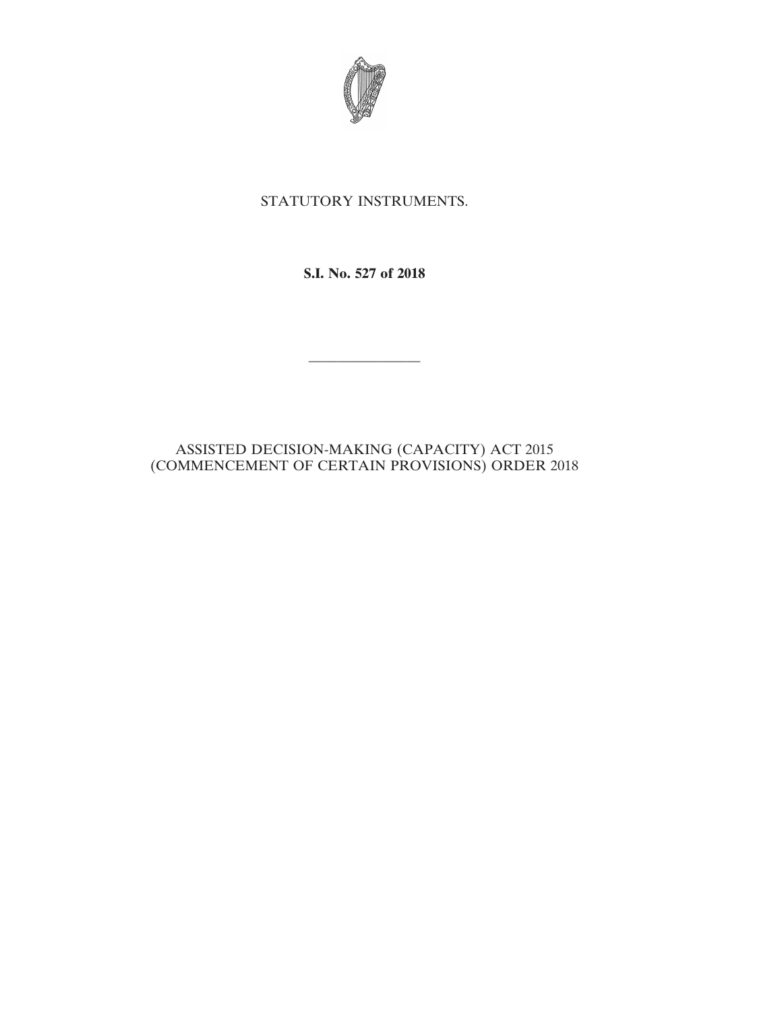

## STATUTORY INSTRUMENTS.

**S.I. No. 527 of 2018**

————————

## ASSISTED DECISION-MAKING (CAPACITY) ACT 2015 (COMMENCEMENT OF CERTAIN PROVISIONS) ORDER 2018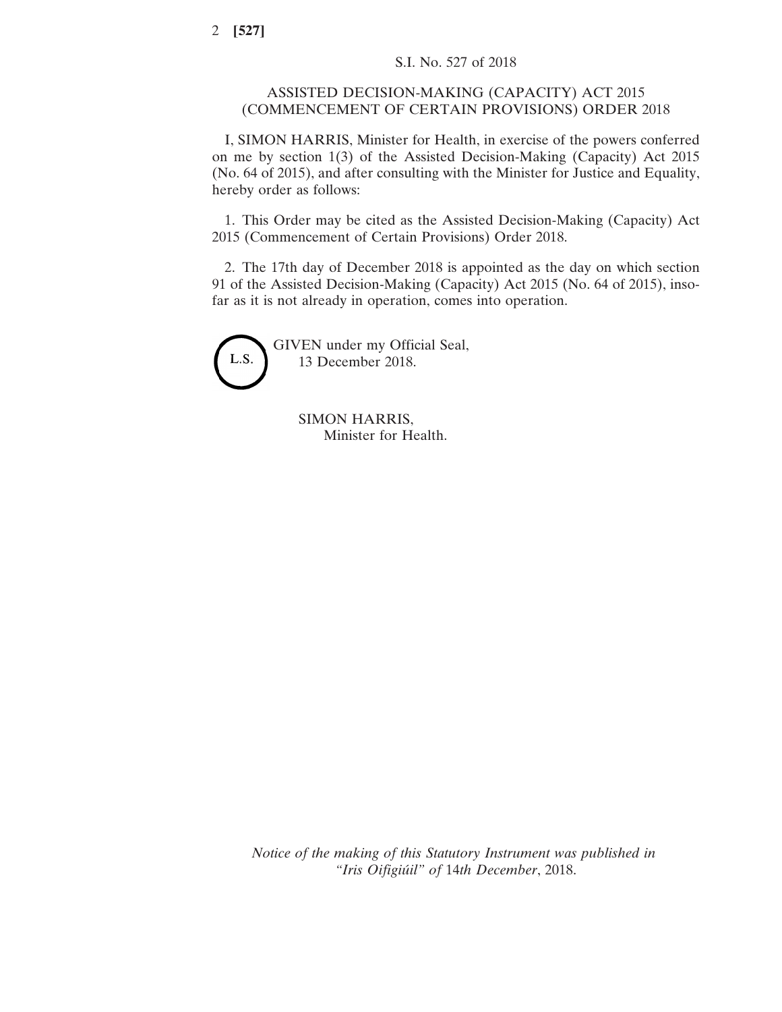## ASSISTED DECISION-MAKING (CAPACITY) ACT 2015 (COMMENCEMENT OF CERTAIN PROVISIONS) ORDER 2018

I, SIMON HARRIS, Minister for Health, in exercise of the powers conferred on me by section 1(3) of the Assisted Decision-Making (Capacity) Act 2015 (No. 64 of 2015), and after consulting with the Minister for Justice and Equality, hereby order as follows:

1. This Order may be cited as the Assisted Decision-Making (Capacity) Act 2015 (Commencement of Certain Provisions) Order 2018.

2. The 17th day of December 2018 is appointed as the day on which section 91 of the Assisted Decision-Making (Capacity) Act 2015 (No. 64 of 2015), insofar as it is not already in operation, comes into operation.



GIVEN under my Official Seal, 13 December 2018.

> SIMON HARRIS, Minister for Health.

*Notice of the making of this Statutory Instrument was published in "Iris Oifigiúil" of* 14*th December*, 2018.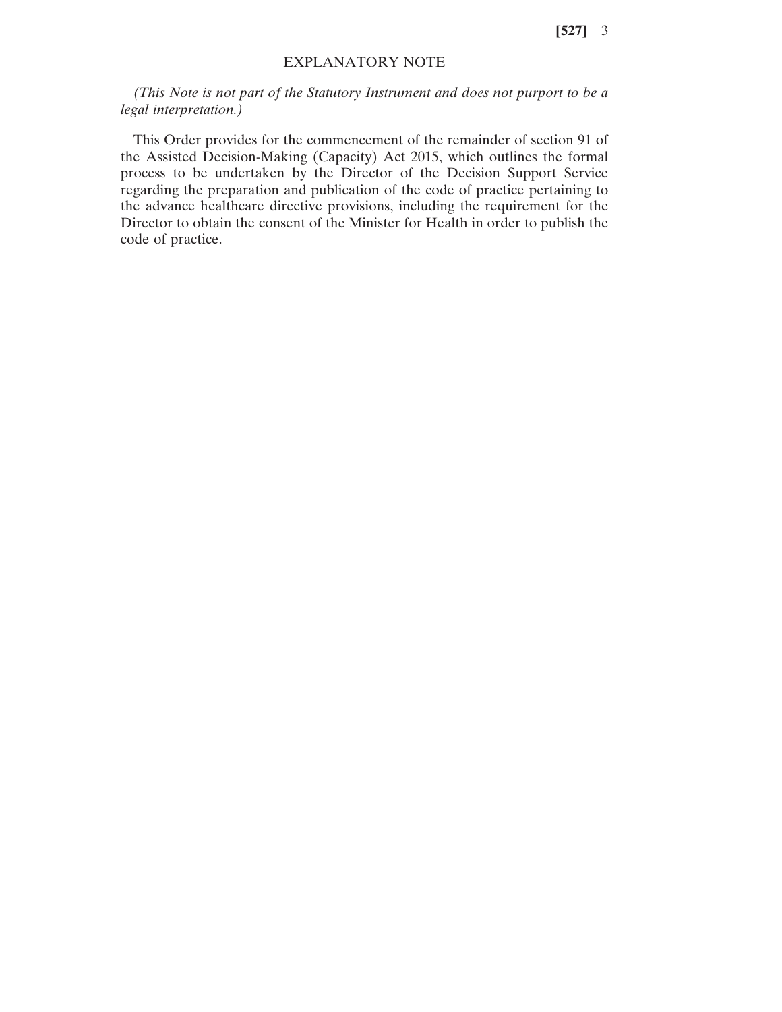**[527]** 3

## EXPLANATORY NOTE

*(This Note is not part of the Statutory Instrument and does not purport to be a legal interpretation.)*

This Order provides for the commencement of the remainder of section 91 of the Assisted Decision-Making (Capacity) Act 2015, which outlines the formal process to be undertaken by the Director of the Decision Support Service regarding the preparation and publication of the code of practice pertaining to the advance healthcare directive provisions, including the requirement for the Director to obtain the consent of the Minister for Health in order to publish the code of practice.